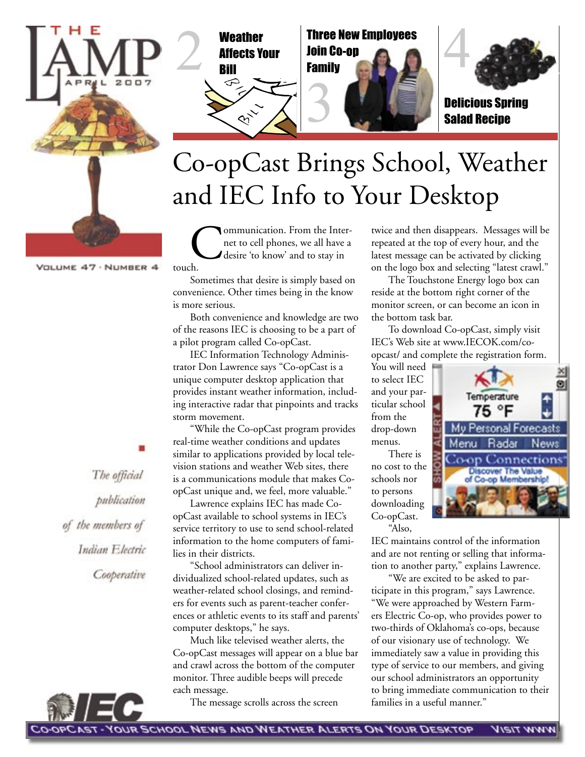



Weather Three New Employees<br>Affects Your Join Co-op<br>Bill Family Three New Employees Join Co-op Family



Delicious Spring Salad Recipe

# Co-opCast Brings School, Weather and IEC Info to Your Desktop

3

Communication. From the Inter-<br>net to cell phones, we all have a<br>desire 'to know' and to stay in net to cell phones, we all have a desire 'to know' and to stay in touch.

Sometimes that desire is simply based on convenience. Other times being in the know is more serious.

Both convenience and knowledge are two of the reasons IEC is choosing to be a part of a pilot program called Co-opCast.

IEC Information Technology Administrator Don Lawrence says "Co-opCast is a unique computer desktop application that provides instant weather information, including interactive radar that pinpoints and tracks storm movement.

"While the Co-opCast program provides real-time weather conditions and updates similar to applications provided by local television stations and weather Web sites, there is a communications module that makes CoopCast unique and, we feel, more valuable."

Lawrence explains IEC has made CoopCast available to school systems in IEC's service territory to use to send school-related information to the home computers of families in their districts.

"School administrators can deliver individualized school-related updates, such as weather-related school closings, and reminders for events such as parent-teacher conferences or athletic events to its staff and parents' computer desktops," he says.

Much like televised weather alerts, the Co-opCast messages will appear on a blue bar and crawl across the bottom of the computer monitor. Three audible beeps will precede each message.

The message scrolls across the screen

twice and then disappears. Messages will be repeated at the top of every hour, and the latest message can be activated by clicking on the logo box and selecting "latest crawl."

The Touchstone Energy logo box can reside at the bottom right corner of the monitor screen, or can become an icon in the bottom task bar.

To download Co-opCast, simply visit IEC's Web site at www.IECOK.com/coopcast/ and complete the registration form.

75 °F

Menu Radar

Mu Personal Forecasts

o-op Connections Discover The Value<br>of Co-op Membership!

You will need to select IEC and your particular school from the drop-down menus.

There is no cost to the schools nor to persons downloading Co-opCast. "Also,

IEC maintains control of the information and are not renting or selling that information to another party," explains Lawrence.

"We are excited to be asked to participate in this program," says Lawrence. "We were approached by Western Farmers Electric Co-op, who provides power to two-thirds of Oklahoma's co-ops, because of our visionary use of technology. We immediately saw a value in providing this type of service to our members, and giving our school administrators an opportunity to bring immediate communication to their families in a useful manner."

The official publication of the members of Indian Electric Cooperative

WWW TIEIV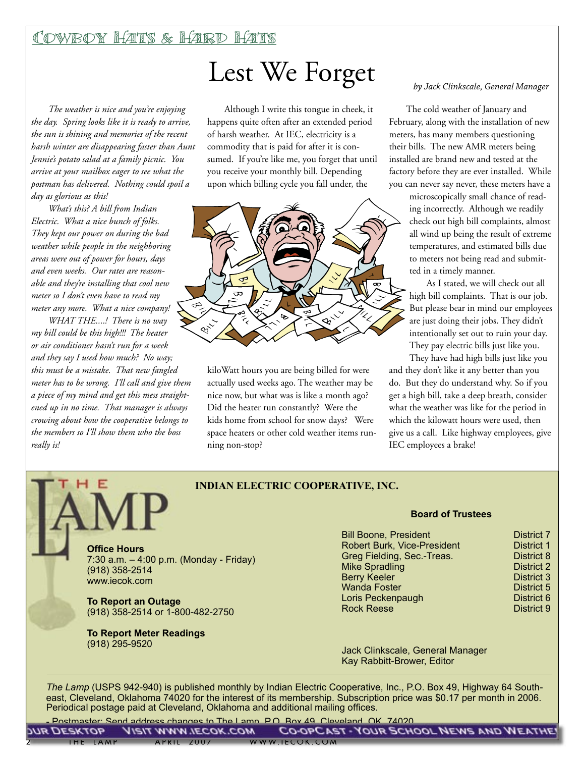## Cowboy Hats & Hard Hats

*The weather is nice and you're enjoying the day. Spring looks like it is ready to arrive, the sun is shining and memories of the recent harsh winter are disappearing faster than Aunt Jennie's potato salad at a family picnic. You arrive at your mailbox eager to see what the postman has delivered. Nothing could spoil a day as glorious as this!*

*What's this? A bill from Indian Electric. What a nice bunch of folks. They kept our power on during the bad weather while people in the neighboring areas were out of power for hours, days and even weeks. Our rates are reasonable and they're installing that cool new meter so I don't even have to read my meter any more. What a nice company!*

*WHAT THE....! There is no way my bill could be this high!!! The heater or air conditioner hasn't run for a week and they say I used how much? No way; this must be a mistake. That new fangled meter has to be wrong. I'll call and give them a piece of my mind and get this mess straightened up in no time. That manager is always crowing about how the cooperative belongs to the members so I'll show them who the boss really is!* 

E

# Lest We Forget by Jack Clinkscale, General Manager

Although I write this tongue in cheek, it happens quite often after an extended period of harsh weather. At IEC, electricity is a commodity that is paid for after it is consumed. If you're like me, you forget that until you receive your monthly bill. Depending upon which billing cycle you fall under, the



kiloWatt hours you are being billed for were actually used weeks ago. The weather may be nice now, but what was is like a month ago? Did the heater run constantly? Were the kids home from school for snow days? Were space heaters or other cold weather items running non-stop?

The cold weather of January and February, along with the installation of new meters, has many members questioning their bills. The new AMR meters being installed are brand new and tested at the factory before they are ever installed. While you can never say never, these meters have a

> microscopically small chance of reading incorrectly. Although we readily check out high bill complaints, almost all wind up being the result of extreme temperatures, and estimated bills due to meters not being read and submitted in a timely manner.

> As I stated, we will check out all high bill complaints. That is our job. But please bear in mind our employees are just doing their jobs. They didn't intentionally set out to ruin your day. They pay electric bills just like you.

They have had high bills just like you and they don't like it any better than you do. But they do understand why. So if you get a high bill, take a deep breath, consider what the weather was like for the period in which the kilowatt hours were used, then give us a call. Like highway employees, give IEC employees a brake!

### **INDIAN ELECTRIC COOPERATIVE, INC.**

**Office Hours** 7:30 a.m. – 4:00 p.m. (Monday - Friday) (918) 358-2514 www.iecok.com

**To Report an Outage** (918) 358-2514 or 1-800-482-2750

**To Report Meter Readings**  (918) 295-9520

### **Board of Trustees**

| <b>Bill Boone, President</b>       | <b>District 7</b> |
|------------------------------------|-------------------|
| <b>Robert Burk, Vice-President</b> | <b>District 1</b> |
| Greg Fielding, Sec.-Treas.         | <b>District 8</b> |
| <b>Mike Spradling</b>              | <b>District 2</b> |
| <b>Berry Keeler</b>                | District 3        |
| <b>Wanda Foster</b>                | District 5        |
| Loris Peckenpaugh                  | District 6        |
| <b>Rock Reese</b>                  | <b>District 9</b> |
|                                    |                   |

Jack Clinkscale, General Manager Kay Rabbitt-Brower, Editor

*The Lamp* (USPS 942-940) is published monthly by Indian Electric Cooperative, Inc., P.O. Box 49, Highway 64 Southeast, Cleveland, Oklahoma 74020 for the interest of its membership. Subscription price was \$0.17 per month in 2006. Periodical postage paid at Cleveland, Oklahoma and additional mailing offices.

Postmaster: Send address changes to The Lamp, P.O. Box 49, Cleveland, OK 74020.

|          |           | <b>MR DESKTOP YISIT WWW.TECOK.COM</b> |               | CO-OPC LET - YOUR SCHOOL NEWS AND WENTHE! |  |
|----------|-----------|---------------------------------------|---------------|-------------------------------------------|--|
| IHE LAMP | AYKILZUUZ |                                       | WWW.IECOK.COM |                                           |  |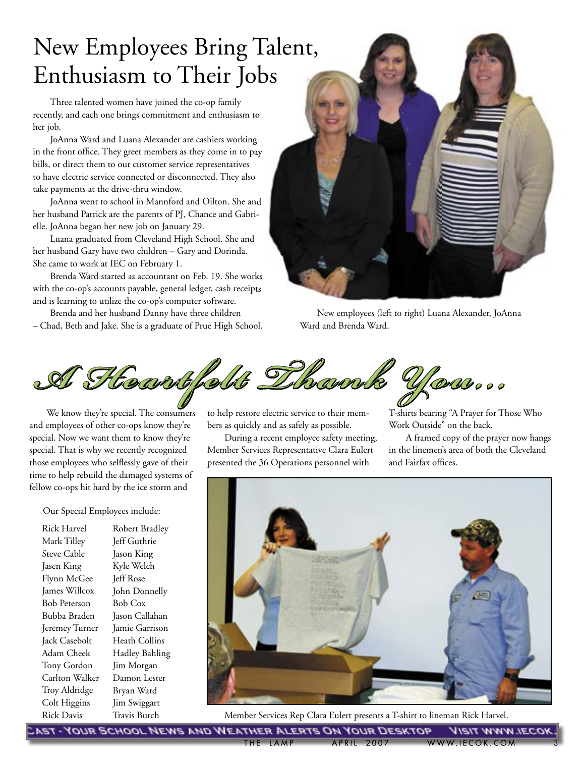# New Employees Bring Talent, Enthusiasm to Their Jobs

Three talented women have joined the co-op family recently, and each one brings commitment and enthusiasm to her job.

JoAnna Ward and Luana Alexander are cashiers working in the front office. They greet members as they come in to pay bills, or direct them to our customer service representatives to have electric service connected or disconnected. They also take payments at the drive-thru window.

JoAnna went to school in Mannford and Oilton. She and her husband Patrick are the parents of PJ, Chance and Gabrielle. JoAnna began her new job on January 29.

Luana graduated from Cleveland High School. She and her husband Gary have two children – Gary and Dorinda. She came to work at IEC on February 1.

Brenda Ward started as accountant on Feb. 19. She works with the co-op's accounts payable, general ledger, cash receipts and is learning to utilize the co-op's computer software.

Brenda and her husband Danny have three children – Chad, Beth and Jake. She is a graduate of Prue High School.



Ward and Brenda Ward.



We know they're special. The consumers and employees of other co-ops know they're special. Now we want them to know they're special. That is why we recently recognized those employees who selflessly gave of their time to help rebuild the damaged systems of fellow co-ops hit hard by the ice storm and

Our Special Employees include:

Rick Harvel Mark Tilley Steve Cable Jasen King Flynn McGee James Willcox Bob Peterson Bubba Braden Jeremey Turner Jack Casebolt Adam Cheek Tony Gordon Carlton Walker Troy Aldridge Colt Higgins Rick Davis

Robert Bradley Jeff Guthrie Jason King Kyle Welch Jeff Rose John Donnelly Bob Cox Jason Callahan Jamie Garrison Heath Collins Hadley Bahling Jim Morgan Damon Lester Bryan Ward Jim Swiggart Travis Burch

to help restore electric service to their members as quickly and as safely as possible.

During a recent employee safety meeting, Member Services Representative Clara Eulert presented the 36 Operations personnel with

T-shirts bearing "A Prayer for Those Who Work Outside" on the back.

A framed copy of the prayer now hangs in the linemen's area of both the Cleveland and Fairfax offices.



Member Services Rep Clara Eulert presents a T-shirt to lineman Rick Harvel.